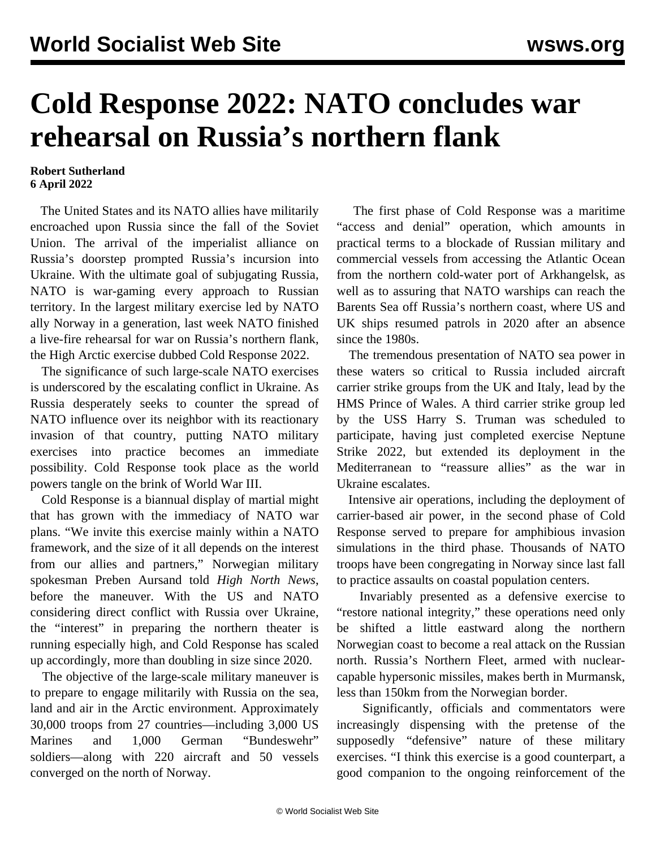## **Cold Response 2022: NATO concludes war rehearsal on Russia's northern flank**

## **Robert Sutherland 6 April 2022**

 The United States and its NATO allies have militarily encroached upon Russia since the fall of the Soviet Union. The arrival of the imperialist alliance on Russia's doorstep prompted Russia's incursion into Ukraine. With the ultimate goal of subjugating Russia, NATO is war-gaming every approach to Russian territory. In the largest military exercise led by NATO ally Norway in a generation, last week NATO finished a live-fire rehearsal for war on Russia's northern flank, the High Arctic exercise dubbed Cold Response 2022.

 The significance of such large-scale NATO exercises is underscored by the escalating conflict in Ukraine. As Russia desperately seeks to counter the spread of NATO influence over its neighbor with its reactionary invasion of that country, putting NATO military exercises into practice becomes an immediate possibility. Cold Response took place as the world powers tangle on the brink of World War III.

 Cold Response is a biannual display of martial might that has grown with the immediacy of NATO war plans. "We invite this exercise mainly within a NATO framework, and the size of it all depends on the interest from our allies and partners," Norwegian military spokesman Preben Aursand told *High North News*, before the maneuver. With the US and NATO considering direct conflict with Russia over Ukraine, the "interest" in preparing the northern theater is running especially high, and Cold Response has scaled up accordingly, more than doubling in size since 2020.

 The objective of the large-scale military maneuver is to prepare to engage militarily with Russia on the sea, land and air in the Arctic environment. Approximately 30,000 troops from 27 countries—including 3,000 US Marines and 1,000 German "Bundeswehr" soldiers—along with 220 aircraft and 50 vessels converged on the north of Norway.

 The first phase of Cold Response was a maritime "access and denial" operation, which amounts in practical terms to a blockade of Russian military and commercial vessels from accessing the Atlantic Ocean from the northern cold-water port of Arkhangelsk, as well as to assuring that NATO warships can reach the Barents Sea off Russia's northern coast, where US and UK ships resumed patrols in 2020 after an absence since the 1980s.

 The tremendous presentation of NATO sea power in these waters so critical to Russia included aircraft carrier strike groups from the UK and Italy, lead by the HMS Prince of Wales. A third carrier strike group led by the USS Harry S. Truman was scheduled to participate, having just completed exercise Neptune Strike 2022, but extended its deployment in the Mediterranean to "reassure allies" as the war in Ukraine escalates.

 Intensive air operations, including the deployment of carrier-based air power, in the second phase of Cold Response served to prepare for amphibious invasion simulations in the third phase. Thousands of NATO troops have been congregating in Norway since last fall to practice assaults on coastal population centers.

 Invariably presented as a defensive exercise to "restore national integrity," these operations need only be shifted a little eastward along the northern Norwegian coast to become a real attack on the Russian north. Russia's Northern Fleet, armed with nuclearcapable hypersonic missiles, makes berth in Murmansk, less than 150km from the Norwegian border.

 Significantly, officials and commentators were increasingly dispensing with the pretense of the supposedly "defensive" nature of these military exercises. "I think this exercise is a good counterpart, a good companion to the ongoing reinforcement of the